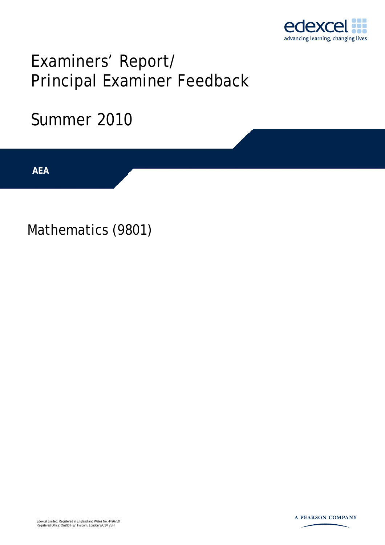

# Examiners' Report/ Principal Examiner Feedback

## Summer 2010

AEA

Mathematics (9801)

Edexcel Limited. Registered in England and Wales No. 4496750 Registered Office: One90 High Holborn, London WC1V 7BH

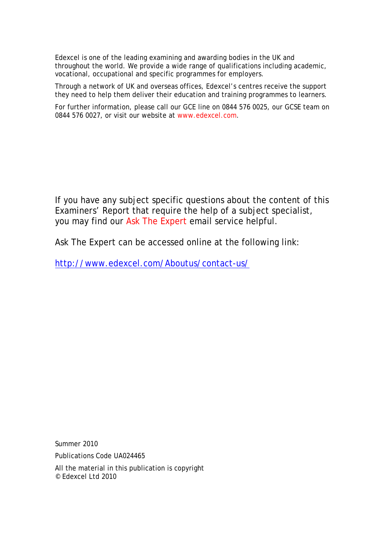Edexcel is one of the leading examining and awarding bodies in the UK and throughout the world. We provide a wide range of qualifications including academic, vocational, occupational and specific programmes for employers.

Through a network of UK and overseas offices, Edexcel's centres receive the support they need to help them deliver their education and training programmes to learners.

For further information, please call our GCE line on 0844 576 0025, our GCSE team on 0844 576 0027, or visit our website at www.edexcel.com.

If you have any subject specific questions about the content of this Examiners' Report that require the help of a subject specialist, you may find our Ask The Expert email service helpful.

Ask The Expert can be accessed online at the following link:

http://www.edexcel.com/Aboutus/contact-us/

Summer 2010

Publications Code UA024465

All the material in this publication is copyright © Edexcel Ltd 2010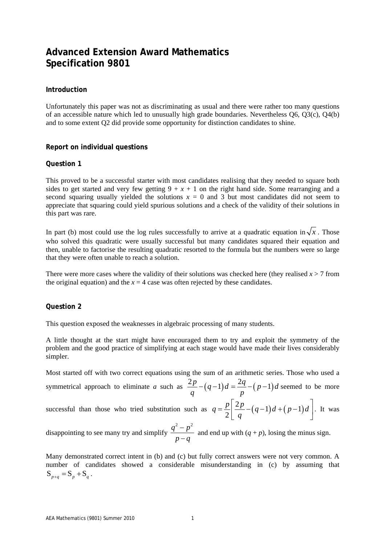### **Advanced Extension Award Mathematics Specification 9801**

#### **Introduction**

Unfortunately this paper was not as discriminating as usual and there were rather too many questions of an accessible nature which led to unusually high grade boundaries. Nevertheless Q6, Q3(c), Q4(b) and to some extent Q2 did provide some opportunity for distinction candidates to shine.

#### **Report on individual questions**

#### **Question 1**

This proved to be a successful starter with most candidates realising that they needed to square both sides to get started and very few getting  $9 + x + 1$  on the right hand side. Some rearranging and a second squaring usually yielded the solutions  $x = 0$  and 3 but most candidates did not seem to appreciate that squaring could yield spurious solutions and a check of the validity of their solutions in this part was rare.

In part (b) most could use the log rules successfully to arrive at a quadratic equation in  $\sqrt{x}$ . Those who solved this quadratic were usually successful but many candidates squared their equation and then, unable to factorise the resulting quadratic resorted to the formula but the numbers were so large that they were often unable to reach a solution.

There were more cases where the validity of their solutions was checked here (they realised  $x > 7$  from the original equation) and the  $x = 4$  case was often rejected by these candidates.

#### **Question 2**

This question exposed the weaknesses in algebraic processing of many students.

A little thought at the start might have encouraged them to try and exploit the symmetry of the problem and the good practice of simplifying at each stage would have made their lives considerably simpler.

Most started off with two correct equations using the sum of an arithmetic series. Those who used a symmetrical approach to eliminate *a* such as  $\frac{2p}{q} - (q-1)d = \frac{2q}{p} - (p-1)d$  seemed to be more

successful than those who tried substitution such as  $q = \frac{p}{2} \left| \frac{2p}{-} (q-1)d + (p-1) \right|$ 2  $q = \frac{p}{2} \left| \frac{2p}{2} - (q-1)d + (p-1)d \right|$ *q*  $=\frac{p}{2}\left[\frac{2p}{q}-(q-1)d+(p-1)d\right]$ . It was

disappointing to see many try and simplify  $q^2 - p^2$  $p - q$ −  $\frac{P}{q}$  and end up with  $(q + p)$ , losing the minus sign.

Many demonstrated correct intent in (b) and (c) but fully correct answers were not very common. A number of candidates showed a considerable misunderstanding in (c) by assuming that  $S_{p+q} = S_p + S_q$ .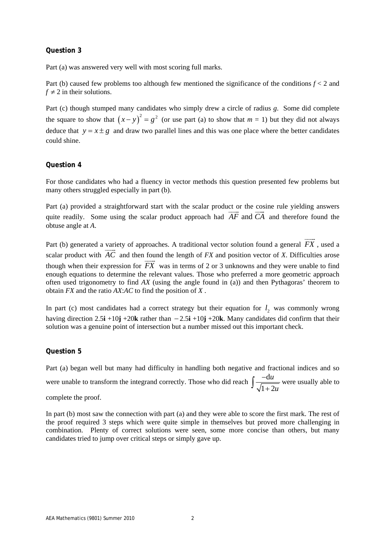#### **Question 3**

Part (a) was answered very well with most scoring full marks.

Part (b) caused few problems too although few mentioned the significance of the conditions  $f < 2$  and  $f \neq 2$  in their solutions.

Part (c) though stumped many candidates who simply drew a circle of radius *g*. Some did complete the square to show that  $(x - y)^2 = g^2$  (or use part (a) to show that  $m = 1$ ) but they did not always deduce that  $y = x \pm g$  and draw two parallel lines and this was one place where the better candidates could shine.

#### **Question 4**

For those candidates who had a fluency in vector methods this question presented few problems but many others struggled especially in part (b).

Part (a) provided a straightforward start with the scalar product or the cosine rule yielding answers quite readily. Some using the scalar product approach had  $\overline{AF}$  and  $\overline{CA}$  and therefore found the obtuse angle at *A*.

Part (b) generated a variety of approaches. A traditional vector solution found a general  $\overrightarrow{FX}$  , used a scalar product with  $\overline{AC}$  and then found the length of *FX* and position vector of *X*. Difficulties arose though when their expression for  $\overline{FX}$  was in terms of 2 or 3 unknowns and they were unable to find enough equations to determine the relevant values. Those who preferred a more geometric approach often used trigonometry to find *AX* (using the angle found in (a)) and then Pythagoras' theorem to obtain *FX* and the ratio *AX*:*AC* to find the position of *X* .

In part (c) most candidates had a correct strategy but their equation for  $l_2$  was commonly wrong having direction 2.5**i** +10**j** +20**k** rather than − 2.5**i** +10**j** +20**k**. Many candidates did confirm that their solution was a genuine point of intersection but a number missed out this important check.

#### **Question 5**

Part (a) began well but many had difficulty in handling both negative and fractional indices and so were unable to transform the integrand correctly. Those who did reach  $\int \frac{-d}{dx}$  $1 + 2$ *u u*  $\int \frac{-du}{\sqrt{1+2u}}$  were usually able to

complete the proof.

In part (b) most saw the connection with part (a) and they were able to score the first mark. The rest of the proof required 3 steps which were quite simple in themselves but proved more challenging in combination. Plenty of correct solutions were seen, some more concise than others, but many candidates tried to jump over critical steps or simply gave up.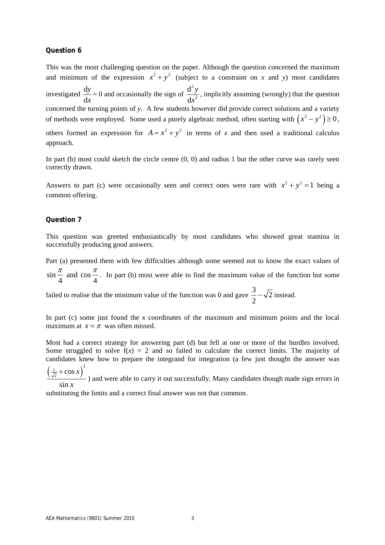#### **Question 6**

This was the most challenging question on the paper. Although the question concerned the maximum and minimum of the expression  $x^2 + y^2$  (subject to a constraint on *x* and *y*) most candidates investigated  $\frac{d}{dx}$ d *y x*  $= 0$  and occasionally the sign of 2 2 d d *y x* , implicitly assuming (wrongly) that the question concerned the turning points of *y*. A few students however did provide correct solutions and a variety of methods were employed. Some used a purely algebraic method, often starting with  $(x^2 - y^2) \ge 0$ , others formed an expression for  $A = x^2 + y^2$  in terms of *x* and then used a traditional calculus approach.

In part (b) most could sketch the circle centre  $(0, 0)$  and radius 1 but the other curve was rarely seen correctly drawn.

Answers to part (c) were occasionally seen and correct ones were rare with  $x^2 + y^2 = 1$  being a common offering.

#### **Question 7**

This question was greeted enthusiastically by most candidates who showed great stamina in successfully producing good answers.

Part (a) presented them with few difficulties although some seemed not to know the exact values of  $\sin \frac{\pi}{4}$  and cos  $4 \frac{m}{4}$  $\frac{\pi}{2}$  and cos  $\frac{\pi}{2}$ . In part (b) most were able to find the maximum value of the function but some

failed to realise that the minimum value of the function was 0 and gave  $\frac{3}{2} - \sqrt{2}$ 2  $-\sqrt{2}$  instead.

In part (c) some just found the *x* coordinates of the maximum and minimum points and the local maximum at  $x = \pi$  was often missed.

Most had a correct strategy for answering part (d) but fell at one or more of the hurdles involved. Some struggled to solve  $f(x) = 2$  and so failed to calculate the correct limits. The majority of candidates knew how to prepare the integrand for integration (a few just thought the answer was  $\left(\frac{1}{\sqrt{2}} + \cos x\right)^3$ *x* +

sin *x* ) and were able to carry it out successfully. Many candidates though made sign errors in

substituting the limits and a correct final answer was not that common.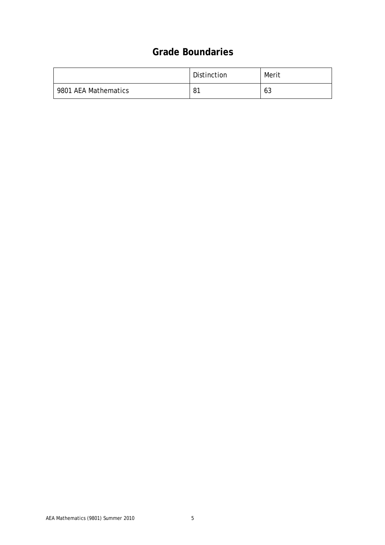## **Grade Boundaries**

|                      | Distinction | Merit |
|----------------------|-------------|-------|
| 9801 AEA Mathematics | 81          | 63    |